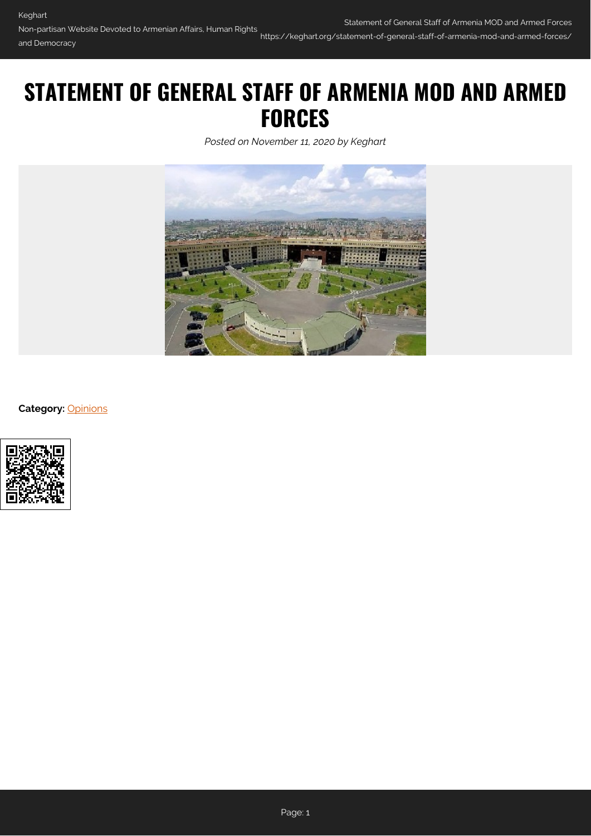# **STATEMENT OF GENERAL STAFF OF ARMENIA MOD AND ARMED FORCES**

*Posted on November 11, 2020 by Keghart*



**Category:** [Opinions](https://keghart.org/category/opinions/)

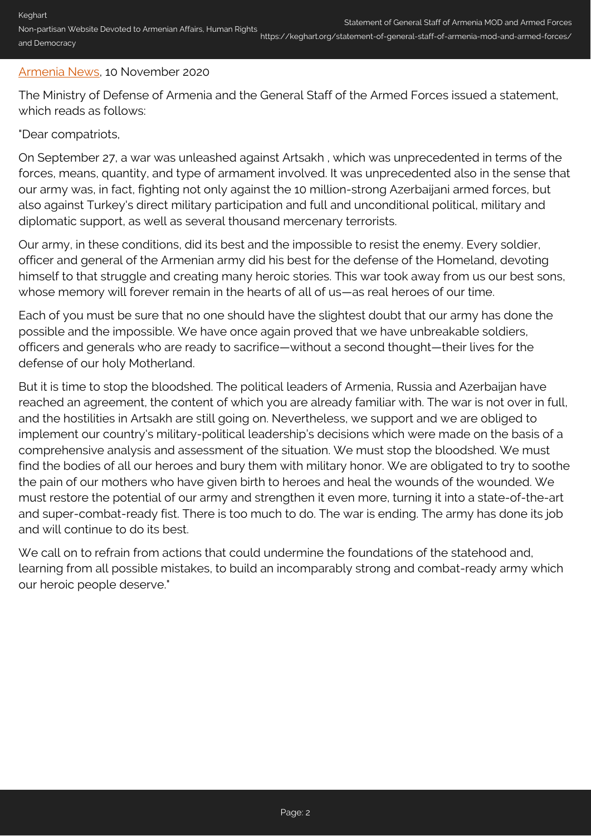## [Armenia News](https://news.am/eng/news/612428.html), 10 November 2020

The Ministry of Defense of Armenia and the General Staff of the Armed Forces issued a statement, which reads as follows:

## "Dear compatriots,

On September 27, a war was unleashed against Artsakh , which was unprecedented in terms of the forces, means, quantity, and type of armament involved. It was unprecedented also in the sense that our army was, in fact, fighting not only against the 10 million-strong Azerbaijani armed forces, but also against Turkey's direct military participation and full and unconditional political, military and diplomatic support, as well as several thousand mercenary terrorists.

Our army, in these conditions, did its best and the impossible to resist the enemy. Every soldier, officer and general of the Armenian army did his best for the defense of the Homeland, devoting himself to that struggle and creating many heroic stories. This war took away from us our best sons, whose memory will forever remain in the hearts of all of us—as real heroes of our time.

Each of you must be sure that no one should have the slightest doubt that our army has done the possible and the impossible. We have once again proved that we have unbreakable soldiers, officers and generals who are ready to sacrifice—without a second thought—their lives for the defense of our holy Motherland.

But it is time to stop the bloodshed. The political leaders of Armenia, Russia and Azerbaijan have reached an agreement, the content of which you are already familiar with. The war is not over in full, and the hostilities in Artsakh are still going on. Nevertheless, we support and we are obliged to implement our country's military-political leadership's decisions which were made on the basis of a comprehensive analysis and assessment of the situation. We must stop the bloodshed. We must find the bodies of all our heroes and bury them with military honor. We are obligated to try to soothe the pain of our mothers who have given birth to heroes and heal the wounds of the wounded. We must restore the potential of our army and strengthen it even more, turning it into a state-of-the-art and super-combat-ready fist. There is too much to do. The war is ending. The army has done its job and will continue to do its best.

We call on to refrain from actions that could undermine the foundations of the statehood and, learning from all possible mistakes, to build an incomparably strong and combat-ready army which our heroic people deserve."